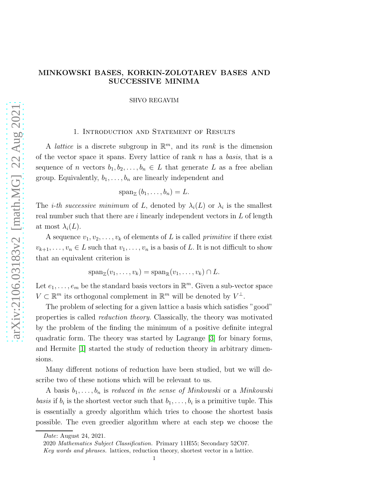# MINKOWSKI BASES, KORKIN-ZOLOTAREV BASES AND SUCCESSIVE MINIMA

SHVO REGAVIM

## 1. Introduction and Statement of Results

A *lattice* is a discrete subgroup in  $\mathbb{R}^m$ , and its *rank* is the dimension of the vector space it spans. Every lattice of rank  $n$  has a basis, that is a sequence of n vectors  $b_1, b_2, \ldots, b_n \in L$  that generate L as a free abelian group. Equivalently,  $b_1, \ldots, b_n$  are linearly independent and

 $\operatorname{span}_{\mathbb{Z}}(b_1,\ldots,b_n)=L.$ 

The *i-th successive minimum* of L, denoted by  $\lambda_i(L)$  or  $\lambda_i$  is the smallest real number such that there are  $i$  linearly independent vectors in  $L$  of length at most  $\lambda_i(L)$ .

A sequence  $v_1, v_2, \ldots, v_k$  of elements of L is called *primitive* if there exist  $v_{k+1}, \ldots, v_n \in L$  such that  $v_1, \ldots, v_n$  is a basis of L. It is not difficult to show that an equivalent criterion is

$$
\operatorname{span}_{\mathbb{Z}}(v_1,\ldots,v_k)=\operatorname{span}_{\mathbb{R}}(v_1,\ldots,v_k)\cap L.
$$

Let  $e_1, \ldots, e_m$  be the standard basis vectors in  $\mathbb{R}^m$ . Given a sub-vector space  $V \subset \mathbb{R}^m$  its orthogonal complement in  $\mathbb{R}^m$  will be denoted by  $V^{\perp}$ .

The problem of selecting for a given lattice a basis which satisfies "good" properties is called reduction theory. Classically, the theory was motivated by the problem of the finding the minimum of a positive definite integral quadratic form. The theory was started by Lagrange [\[3\]](#page-20-0) for binary forms, and Hermite [\[1\]](#page-20-1) started the study of reduction theory in arbitrary dimensions.

Many different notions of reduction have been studied, but we will describe two of these notions which will be relevant to us.

A basis  $b_1, \ldots, b_n$  is reduced in the sense of Minkowski or a Minkowski basis if  $b_i$  is the shortest vector such that  $b_1, \ldots, b_i$  is a primitive tuple. This is essentially a greedy algorithm which tries to choose the shortest basis possible. The even greedier algorithm where at each step we choose the

Date: August 24, 2021.

<sup>2020</sup> Mathematics Subject Classification. Primary 11H55; Secondary 52C07.

Key words and phrases. lattices, reduction theory, shortest vector in a lattice.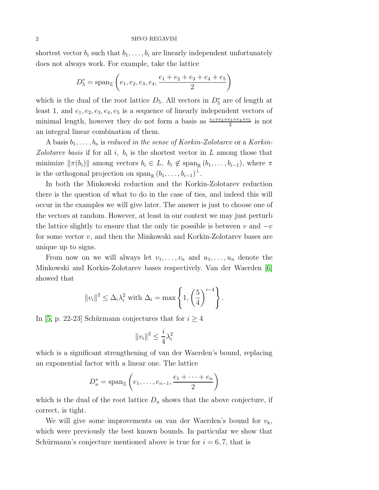shortest vector  $b_i$  such that  $b_1, \ldots, b_i$  are linearly independent unfortunately does not always work. For example, take the lattice

$$
D_5^* = \text{span}_{\mathbb{Z}}\left(e_1, e_2, e_3, e_4, \frac{e_1 + e_2 + e_3 + e_4 + e_5}{2}\right)
$$

which is the dual of the root lattice  $D_5$ . All vectors in  $D_5^*$  are of length at least 1, and  $e_1, e_2, e_3, e_4, e_5$  is a sequence of linearly independent vectors of minimal length, however they do not form a basis as  $\frac{e_1+e_2+e_3+e_4+e_5}{2}$  is not an integral linear combination of them.

A basis  $b_1, \ldots, b_n$  is reduced in the sense of Korkin-Zolotarev or a Korkin-Zolotarev basis if for all i,  $b_i$  is the shortest vector in L among those that minimize  $\|\pi(b_i)\|$  among vectors  $b_i \in L$ ,  $b_i \notin \text{span}_{\mathbb{R}} (b_1, \ldots, b_{i-1}),$  where  $\pi$ is the orthogonal projection on span<sub>R</sub>  $(b_1, \ldots, b_{i-1})^{\perp}$ .

In both the Minkowski reduction and the Korkin-Zolotarev reduction there is the question of what to do in the case of ties, and indeed this will occur in the examples we will give later. The answer is just to choose one of the vectors at random. However, at least in our context we may just perturb the lattice slightly to ensure that the only tie possible is between v and  $-v$ for some vector v, and then the Minkowski and Korkin-Zolotarev bases are unique up to signs.

From now on we will always let  $v_1, \ldots, v_n$  and  $u_1, \ldots, u_n$  denote the Minkowski and Korkin-Zolotarev bases respectively. Van der Waerden [6] showed that

$$
||v_i||^2 \leq \Delta_i \lambda_i^2
$$
 with  $\Delta_i = \max \left\{ 1, \left( \frac{5}{4} \right)^{i-4} \right\}.$ 

In [\[5,](#page-20-2) p. 22-23] Schürmann conjectures that for  $i \geq 4$ 

$$
||v_i||^2 \le \frac{i}{4}\lambda_i^2
$$

which is a significant strengthening of van der Waerden's bound, replacing an exponential factor with a linear one. The lattice

$$
D_n^* = \operatorname{span}_{\mathbb{Z}}\left(e_1, \ldots, e_{n-1}, \frac{e_1 + \cdots + e_n}{2}\right)
$$

which is the dual of the root lattice  $D_n$  shows that the above conjecture, if correct, is tight.

We will give some improvements on van der Waerden's bound for  $v_k$ , which were previously the best known bounds. In particular we show that Schürmann's conjecture mentioned above is true for  $i = 6, 7$ , that is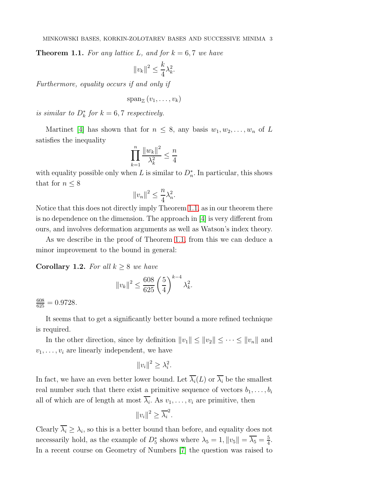<span id="page-2-0"></span>**Theorem 1.1.** For any lattice L, and for  $k = 6, 7$  we have

$$
||v_k||^2 \le \frac{k}{4}\lambda_k^2.
$$

Furthermore, equality occurs if and only if

$$
\operatorname{span}_{\mathbb{Z}}(v_1,\ldots,v_k)
$$

is similar to  $D_k^*$  for  $k = 6, 7$  respectively.

Martinet [\[4\]](#page-20-3) has shown that for  $n \leq 8$ , any basis  $w_1, w_2, \ldots, w_n$  of L satisfies the inequality

$$
\prod_{k=1}^n \frac{\|w_k\|^2}{\lambda_k^2} \le \frac{n}{4}
$$

with equality possible only when L is similar to  $D_n^*$ . In particular, this shows that for  $n \leq 8$ 

$$
||v_n||^2 \le \frac{n}{4}\lambda_n^2.
$$

Notice that this does not directly imply Theorem [1.1,](#page-2-0) as in our theorem there is no dependence on the dimension. The approach in [\[4\]](#page-20-3) is very different from ours, and involves deformation arguments as well as Watson's index theory.

As we describe in the proof of Theorem [1.1,](#page-2-0) from this we can deduce a minor improvement to the bound in general:

<span id="page-2-1"></span>**Corollary 1.2.** For all  $k \geq 8$  we have

$$
||v_k||^2 \le \frac{608}{625} \left(\frac{5}{4}\right)^{k-4} \lambda_k^2.
$$

 $\frac{608}{625} = 0.9728.$ 

It seems that to get a significantly better bound a more refined technique is required.

In the other direction, since by definition  $||v_1|| \leq ||v_2|| \leq \cdots \leq ||v_n||$  and  $v_1, \ldots, v_i$  are linearly independent, we have

$$
||v_i||^2 \geq \lambda_i^2.
$$

In fact, we have an even better lower bound. Let  $\overline{\lambda_i}(L)$  or  $\overline{\lambda_i}$  be the smallest real number such that there exist a primitive sequence of vectors  $b_1, \ldots, b_i$ all of which are of length at most  $\lambda_i$ . As  $v_1, \ldots, v_i$  are primitive, then

$$
||v_i||^2 \ge \overline{\lambda_i}^2.
$$

Clearly  $\lambda_i \geq \lambda_i$ , so this is a better bound than before, and equality does not necessarily hold, as the example of  $D_5^*$  shows where  $\lambda_5 = 1$ ,  $||v_5|| = \overline{\lambda_5} = \frac{5}{4}$  $\frac{5}{4}$ . In a recent course on Geometry of Numbers [\[7\]](#page-20-4) the question was raised to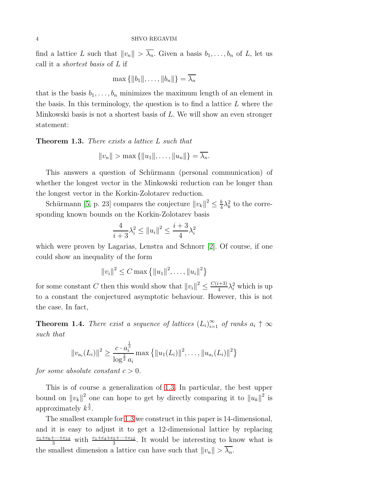find a lattice L such that  $||v_n|| > \overline{\lambda_n}$ . Given a basis  $b_1, \ldots, b_n$  of L, let us call it a shortest basis of L if

$$
\max\left\{\|b_1\|,\ldots,\|b_n\|\right\}=\overline{\lambda_n}
$$

that is the basis  $b_1, \ldots, b_n$  minimizes the maximum length of an element in the basis. In this terminology, the question is to find a lattice  $L$  where the Minkowski basis is not a shortest basis of L. We will show an even stronger statement:

<span id="page-3-0"></span>Theorem 1.3. There exists a lattice L such that

$$
||v_n|| > \max{||u_1||, ..., ||u_n||} = \overline{\lambda_n}.
$$

This answers a question of Schürmann (personal communication) of whether the longest vector in the Minkowski reduction can be longer than the longest vector in the Korkin-Zolotarev reduction.

Schürmann [\[5,](#page-20-2) p. 23] compares the conjecture  $||v_k||^2 \le \frac{k}{4}$  $\frac{k}{4}\lambda_k^2$  to the corresponding known bounds on the Korkin-Zolotarev basis

$$
\frac{4}{i+3}\lambda_i^2 \le ||u_i||^2 \le \frac{i+3}{4}\lambda_i^2
$$

which were proven by Lagarias, Lenstra and Schnorr [\[2\]](#page-20-5). Of course, if one could show an inequality of the form

 $||v_i||^2 \leq C \max \{||u_1||^2, \ldots, ||u_i||^2\}$ 

for some constant C then this would show that  $||v_i||^2 \leq \frac{C(i+3)}{4}$  $\frac{(k+3)}{4}\lambda_i^2$  which is up to a constant the conjectured asymptotic behaviour. However, this is not the case. In fact,

<span id="page-3-1"></span>**Theorem 1.4.** There exist a sequence of lattices  $(L_i)_{i=1}^{\infty}$  of ranks  $a_i \uparrow \infty$ such that

$$
||v_{a_i}(L_i)||^2 \ge \frac{c \cdot a_i^{\frac{1}{3}}}{\log^{\frac{2}{3}} a_i} \max \{ ||u_1(L_i)||^2, \dots, ||u_{a_i}(L_i)||^2 \}
$$

for some absolute constant  $c > 0$ .

This is of course a generalization of [1.3.](#page-3-0) In particular, the best upper bound on  $||v_k||^2$  one can hope to get by directly comparing it to  $||u_k||^2$  is approximately  $k^{\frac{4}{3}}$ .

The smallest example for [1.3](#page-3-0) we construct in this paper is 14-dimensional, and it is easy to adjust it to get a 12-dimensional lattice by replacing  $\frac{e_1+e_6+\cdots+e_{14}}{3}$  with  $\frac{e_1+e_4+e_5+\cdots+e_{12}}{3}$ . It would be interesting to know what is the smallest dimension a lattice can have such that  $||v_n|| > \overline{\lambda_n}$ .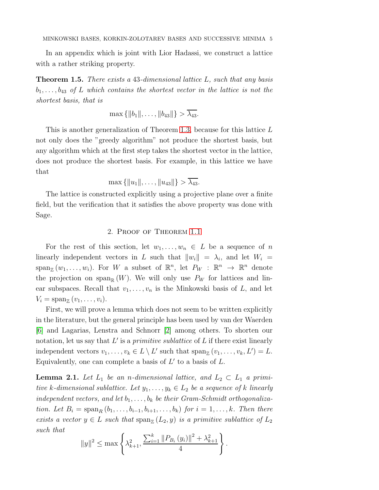In an appendix which is joint with Lior Hadassi, we construct a lattice with a rather striking property.

<span id="page-4-1"></span>**Theorem 1.5.** There exists a 43-dimensional lattice  $L$ , such that any basis  $b_1, \ldots, b_{43}$  of L which contains the shortest vector in the lattice is not the shortest basis, that is

 $\max \{ ||b_1||, \ldots, ||b_{43}|| \} > \overline{\lambda_{43}}.$ 

This is another generalization of Theorem [1.3,](#page-3-0) because for this lattice L not only does the "greedy algorithm" not produce the shortest basis, but any algorithm which at the first step takes the shortest vector in the lattice, does not produce the shortest basis. For example, in this lattice we have that

 $\max \{||u_1||, \ldots, ||u_{43}||\} > \overline{\lambda_{43}}.$ 

The lattice is constructed explicitly using a projective plane over a finite field, but the verification that it satisfies the above property was done with Sage.

# 2. Proof of Theorem [1.1](#page-2-0)

For the rest of this section, let  $w_1, \ldots, w_n \in L$  be a sequence of n linearly independent vectors in L such that  $||w_i|| = \lambda_i$ , and let  $W_i$  $span_{\mathbb{Z}}(w_1,\ldots,w_i)$ . For W a subset of  $\mathbb{R}^n$ , let  $P_W$  :  $\mathbb{R}^n \to \mathbb{R}^n$  denote the projection on span<sub>R</sub>  $(W)$ . We will only use  $P_W$  for lattices and linear subspaces. Recall that  $v_1, \ldots, v_n$  is the Minkowski basis of L, and let  $V_i = \mathrm{span}_{\mathbb{Z}}(v_1, \ldots, v_i).$ 

First, we will prove a lemma which does not seem to be written explicitly in the literature, but the general principle has been used by van der Waerden [6] and Lagarias, Lenstra and Schnorr [\[2\]](#page-20-5) among others. To shorten our notation, let us say that  $L'$  is a *primitive sublattice* of  $L$  if there exist linearly independent vectors  $v_1, \ldots, v_k \in L \setminus L'$  such that  $\text{span}_{\mathbb{Z}}(v_1, \ldots, v_k, L') = L$ . Equivalently, one can complete a basis of  $L'$  to a basis of  $L$ .

<span id="page-4-0"></span>**Lemma 2.1.** Let  $L_1$  be an n-dimensional lattice, and  $L_2 \subset L_1$  a primitive k-dimensional sublattice. Let  $y_1, \ldots, y_k \in L_2$  be a sequence of k linearly independent vectors, and let  $b_1, \ldots, b_k$  be their Gram-Schmidt orthogonalization. Let  $B_i = \operatorname{span}_R (b_1, \ldots, b_{i-1}, b_{i+1}, \ldots, b_k)$  for  $i = 1, \ldots, k$ . Then there exists a vector  $y \in L$  such that  $\text{span}_{\mathbb{Z}}(L_2, y)$  is a primitive sublattice of  $L_2$ such that

$$
||y||^{2} \leq \max \left\{ \lambda_{k+1}^{2}, \frac{\sum_{i=1}^{k} ||P_{B_{i}}(y_{i})||^{2} + \lambda_{k+1}^{2}}{4} \right\}.
$$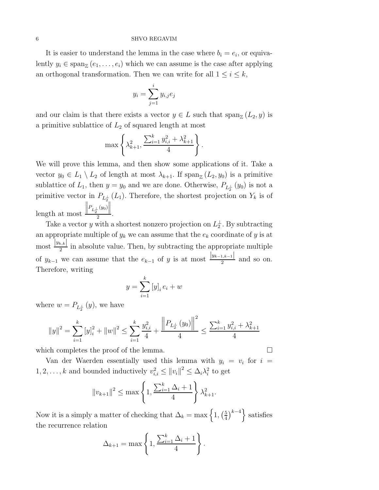It is easier to understand the lemma in the case where  $b_i = e_i$ , or equivalently  $y_i \in \text{span}_{\mathbb{Z}}(e_1, \ldots, e_i)$  which we can assume is the case after applying an orthogonal transformation. Then we can write for all  $1 \leq i \leq k$ ,

$$
y_i = \sum_{j=1}^i y_{i,j} e_j
$$

and our claim is that there exists a vector  $y \in L$  such that  $\text{span}_{\mathbb{Z}}(L_2, y)$  is a primitive sublattice of  $L_2$  of squared length at most

$$
\max \left\{ \lambda_{k+1}^2, \frac{\sum_{i=1}^k y_{i,i}^2 + \lambda_{k+1}^2}{4} \right\}.
$$

We will prove this lemma, and then show some applications of it. Take a vector  $y_0 \in L_1 \setminus L_2$  of length at most  $\lambda_{k+1}$ . If  $\text{span}_{\mathbb{Z}}(L_2, y_0)$  is a primitive sublattice of  $L_1$ , then  $y = y_0$  and we are done. Otherwise,  $P_{L_2^{\perp}}(y_0)$  is not a primitive vector in  $P_{L_2^{\perp}}(L_1)$ . Therefore, the shortest projection on  $Y_k$  is of length at most  $\frac{\left\| P_{L_2^{\perp}}(y_0) \right\|}{2}.$ 

Take a vector y with a shortest nonzero projection on  $L_2^{\perp}$ . By subtracting an appropriate multiple of  $y_k$  we can assume that the  $e_k$  coordinate of y is at most  $\frac{|y_{k,k}|}{2}$  in absolute value. Then, by subtracting the appropriate multiple of  $y_{k-1}$  we can assume that the  $e_{k-1}$  of y is at most  $\frac{|y_{k-1,k-1}|}{2}$  and so on. Therefore, writing

$$
y = \sum_{i=1}^{k} [y]_i e_i + w
$$

where  $w = P_{L_2^{\perp}}(y)$ , we have

$$
||y||^{2} = \sum_{i=1}^{k} [y]_{i}^{2} + ||w||^{2} \le \sum_{i=1}^{k} \frac{y_{i,i}^{2}}{4} + \frac{||P_{L_{2}^{\perp}}(y_{0})||^{2}}{4} \le \frac{\sum_{i=1}^{k} y_{i,i}^{2} + \lambda_{k+1}^{2}}{4}
$$

which completes the proof of the lemma.  $\square$ 

Van der Waerden essentially used this lemma with  $y_i = v_i$  for  $i =$  $1, 2, \ldots, k$  and bounded inductively  $v_{i,i}^2 \le ||v_i||^2 \le \Delta_i \lambda_i^2$  to get

$$
||v_{k+1}||^2 \le \max\left\{1, \frac{\sum_{i=1}^k \Delta_i + 1}{4}\right\} \lambda_{k+1}^2.
$$

Now it is a simply a matter of checking that  $\Delta_k = \max\left\{1, \left(\frac{5}{4}\right)\right\}$  $\left\{\frac{5}{4}\right\}$  satisfies the recurrence relation

$$
\Delta_{k+1} = \max\left\{1, \frac{\sum_{i=1}^{k} \Delta_i + 1}{4}\right\}.
$$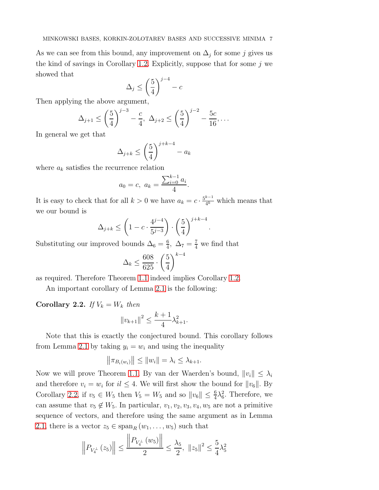As we can see from this bound, any improvement on  $\Delta_j$  for some j gives us the kind of savings in Corollary [1.2.](#page-2-1) Explicitly, suppose that for some  $j$  we showed that

$$
\Delta_j \le \left(\frac{5}{4}\right)^{j-4} - c
$$

Then applying the above argument,

$$
\Delta_{j+1} \le \left(\frac{5}{4}\right)^{j-3} - \frac{c}{4}, \ \Delta_{j+2} \le \left(\frac{5}{4}\right)^{j-2} - \frac{5c}{16}, \dots
$$

In general we get that

$$
\Delta_{j+k} \le \left(\frac{5}{4}\right)^{j+k-4} - a_k
$$

where  $a_k$  satisfies the recurrence relation

$$
a_0 = c, \ a_k = \frac{\sum_{i=0}^{k-1} a_i}{4}.
$$

It is easy to check that for all  $k > 0$  we have  $a_k = c \cdot \frac{5^{k-1}}{4^k}$  $\frac{k-1}{4^k}$  which means that we our bound is

$$
\Delta_{j+k} \le \left(1 - c \cdot \frac{4^{j-4}}{5^{j-3}}\right) \cdot \left(\frac{5}{4}\right)^{j+k-4}.
$$

Substituting our improved bounds  $\Delta_6 = \frac{6}{4}$  $\frac{6}{4}$ ,  $\Delta_7 = \frac{7}{4}$  we find that

$$
\Delta_k \le \frac{608}{625} \cdot \left(\frac{5}{4}\right)^{k-4}
$$

as required. Therefore Theorem [1.1](#page-2-0) indeed implies Corollary [1.2.](#page-2-1)

An important corollary of Lemma [2.1](#page-4-0) is the following:

<span id="page-6-0"></span>Corollary 2.2. If  $V_k = W_k$  then

$$
||v_{k+1}||^2 \le \frac{k+1}{4} \lambda_{k+1}^2.
$$

Note that this is exactly the conjectured bound. This corollary follows from Lemma [2.1](#page-4-0) by taking  $y_i = w_i$  and using the inequality

$$
\left\|\pi_{B_i(w_i)}\right\| \leq \|w_i\| = \lambda_i \leq \lambda_{k+1}.
$$

Now we will prove Theorem [1.1.](#page-2-0) By van der Waerden's bound,  $||v_i|| \leq \lambda_i$ and therefore  $v_i = w_i$  for  $i \leq 4$ . We will first show the bound for  $||v_6||$ . By Corollary [2.2,](#page-6-0) if  $v_5 \in W_5$  then  $V_5 = W_5$  and so  $||v_6|| \leq \frac{6}{4}\lambda_6^2$ . Therefore, we can assume that  $v_5 \notin W_5$ . In particular,  $v_1, v_2, v_3, v_4, w_5$  are not a primitive sequence of vectors, and therefore using the same argument as in Lemma [2.1,](#page-4-0) there is a vector  $z_5 \in \text{span}_R(w_1, \ldots, w_5)$  such that

$$
\left\| P_{V_4^\perp} (z_5) \right\| \le \frac{\left\| P_{V_4^\perp} (w_5) \right\|}{2} \le \frac{\lambda_5}{2}, \ \left\| z_5 \right\|^2 \le \frac{5}{4} \lambda_5^2
$$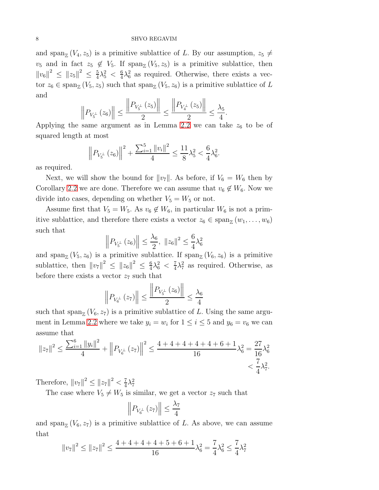and span<sub>Z</sub> ( $V_4$ ,  $z_5$ ) is a primitive sublattice of L. By our assumption,  $z_5 \neq$  $v_5$  and in fact  $z_5 \notin V_5$ . If  $\text{span}_{\mathbb{Z}}(V_5, z_5)$  is a primitive sublattice, then  $||v_6||^2 \leq ||z_5||^2 \leq \frac{5}{4}$  $\frac{5}{4}\lambda_5^2$  <  $\frac{6}{4}$  $\frac{6}{4}\lambda_6^2$  as required. Otherwise, there exists a vector  $z_6 \in \text{span}_{\mathbb{Z}}(V_5, z_5)$  such that  $\text{span}_{\mathbb{Z}}(V_5, z_6)$  is a primitive sublattice of L and

$$
\left\| P_{V_5^{\perp}}\left(z_6\right) \right\| \le \frac{\left\| P_{V_5^{\perp}}\left(z_5\right) \right\|}{2} \le \frac{\left\| P_{V_4^{\perp}}\left(z_5\right) \right\|}{2} \le \frac{\lambda_5}{4}
$$

.

Applying the same argument as in Lemma [2.2](#page-6-0) we can take  $z_6$  to be of squared length at most

$$
\left\| P_{V_5^\perp} \left( z_6 \right) \right\|^2 + \frac{\sum_{i=1}^5 \| v_i \|^2}{4} \le \frac{11}{8} \lambda_5^2 < \frac{6}{4} \lambda_6^2.
$$

as required.

Next, we will show the bound for  $||v_7||$ . As before, if  $V_6 = W_6$  then by Corollary [2.2](#page-6-0) we are done. Therefore we can assume that  $v_6 \notin W_6$ . Now we divide into cases, depending on whether  $V_5 = W_5$  or not.

Assume first that  $V_5 = W_5$ . As  $v_6 \notin W_6$ , in particular  $W_6$  is not a primitive sublattice, and therefore there exists a vector  $z_6 \in \text{span}_{\mathbb{Z}}(w_1, \ldots, w_6)$ such that

$$
\left\| P_{V_5^{\perp}} (z_6) \right\| \le \frac{\lambda_6}{2}, \ \|z_6\|^2 \le \frac{6}{4} \lambda_6^2
$$

and span<sub> $\mathbb{Z}(V_5, z_6)$  is a primitive sublattice. If span $\mathbb{Z}(V_6, z_6)$  is a primitive</sub> sublattice, then  $||v_7||^2 \le ||z_6||^2 \le \frac{6}{4}$  $\frac{6}{4}\lambda_6^2$  <  $\frac{7}{4}$  $\frac{7}{4}\lambda_7^2$  as required. Otherwise, as before there exists a vector  $z_7$  such that

$$
\left\| P_{V_6^\perp} \left( z_7 \right) \right\| \le \frac{\left\| P_{V_5^\perp} \left( z_6 \right) \right\|}{2} \le \frac{\lambda_6}{4}
$$

such that  $\text{span}_{\mathbb{Z}}(V_6, z_7)$  is a primitive sublattice of L. Using the same argu-ment in Lemma [2.2](#page-6-0) where we take  $y_i = w_i$  for  $1 \le i \le 5$  and  $y_6 = v_6$  we can assume that

$$
||z_7||^2 \le \frac{\sum_{i=1}^6 ||y_i||^2}{4} + \left\| P_{V_6^{\perp}}(z_7) \right\|^2 \le \frac{4 + 4 + 4 + 4 + 4 + 6 + 1}{16} \lambda_6^2 = \frac{27}{16} \lambda_6^2 < \frac{7}{4} \lambda_7^2.
$$

Therefore,  $||v_7||^2 \le ||z_7||^2 < \frac{7}{4}$  $\frac{7}{4}\lambda_7^2$ 

The case where  $V_5 \neq W_5$  is similar, we get a vector  $z_7$  such that

$$
\left\|P_{V_6^\perp}(z_7)\right\| \le \frac{\lambda_7}{4}
$$

and span<sub> $\mathbb{Z}(V_6, z_7)$  is a primitive sublattice of L. As above, we can assume</sub> that

$$
||v_7||^2 \le ||z_7||^2 \le \frac{4+4+4+4+5+6+1}{16}\lambda_6^2 = \frac{7}{4}\lambda_6^2 \le \frac{7}{4}\lambda_7^2
$$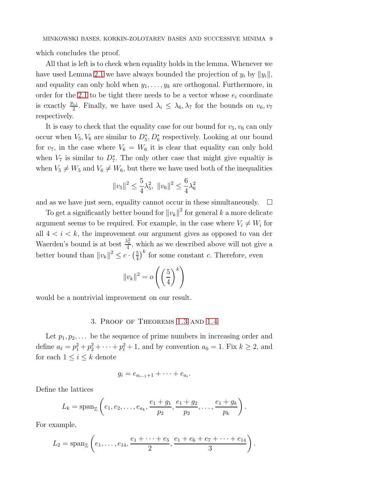which concludes the proof.

All that is left is to check when equality holds in the lemma. Whenever we have used Lemma [2.1](#page-4-0) we have always bounded the projection of  $y_i$  by  $||y_i||$ , and equality can only hold when  $y_1, \ldots, y_k$  are orthogonal. Furthermore, in order for the [2.1](#page-4-0) to be tight there needs to be a vector whose  $e_i$  coordinate is exactly  $\frac{y_{i,i}}{2}$ . Finally, we have used  $\lambda_i \leq \lambda_6, \lambda_7$  for the bounds on  $v_6, v_7$ respectively.

It is easy to check that the equality case for our bound for  $v_5$ ,  $v_6$  can only occur when  $V_5, V_6$  are similar to  $D_5^*, D_6^*$  respectively. Looking at our bound for  $v_7$ , in the case where  $V_6 = W_6$  it is clear that equality can only hold when  $V_7$  is similar to  $D_7^*$ . The only other case that might give equaltiy is when  $V_5 \neq W_5$  and  $V_6 \neq W_6$ , but there we have used both of the inequalities

$$
||v_5||^2 \le \frac{5}{4}\lambda_5^2, ||v_6||^2 \le \frac{6}{4}\lambda_6^2
$$

and as we have just seen, equality cannot occur in these simultaneously.  $\Box$ 

To get a significantly better bound for  $||v_k||^2$  for general k a more delicate argument seems to be required. For example, in the case where  $V_i \neq W_i$  for all  $4 < i < k$ , the improvement our argument gives as opposed to van der Waerden's bound is at best  $\frac{\lambda_k^2}{4}$ , which as we described above will not give a better bound than  $||v_k||^2 \leq c \cdot \left(\frac{5}{4}\right)$  $\frac{5}{4}$ <sup>k</sup> for some constant *c*. Therefore, even

$$
||v_k||^2 = o\left(\left(\frac{5}{4}\right)^k\right)
$$

would be a nontrivial improvement on our result.

# 3. Proof of Theorems [1.3](#page-3-0) and [1.4](#page-3-1)

Let  $p_1, p_2, \ldots$  be the sequence of prime numbers in increasing order and define  $a_{\ell} = p_1^2 + p_2^2 + \cdots + p_{\ell}^2 + 1$ , and by convention  $a_0 = 1$ . Fix  $k \ge 2$ , and for each  $1 \leq i \leq k$  denote

$$
g_i=e_{a_{i-1}+1}+\cdots+e_{a_i}.
$$

Define the lattices

$$
L_k = \mathrm{span}_{\mathbb{Z}}\left(e_1, e_2, \ldots, e_{a_k}, \frac{e_1 + g_1}{p_2}, \frac{e_1 + g_2}{p_2}, \ldots, \frac{e_1 + g_k}{p_k}\right).
$$

For example,

$$
L_2 = \mathrm{span}_{\mathbb{Z}}\left(e_1, \ldots, e_{14}, \frac{e_1 + \cdots + e_5}{2}, \frac{e_1 + e_6 + e_7 + \cdots + e_{14}}{3}\right).
$$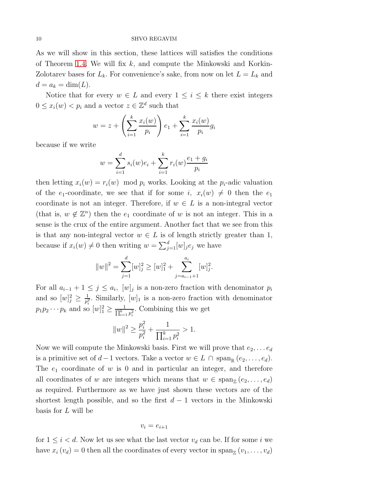As we will show in this section, these lattices will satisfies the conditions of Theorem [1.4.](#page-3-1) We will fix  $k$ , and compute the Minkowski and Korkin-Zolotarev bases for  $L_k$ . For convenience's sake, from now on let  $L = L_k$  and  $d = a_k = \dim(L).$ 

Notice that for every  $w \in L$  and every  $1 \leq i \leq k$  there exist integers  $0 \leq x_i(w) < p_i$  and a vector  $z \in \mathbb{Z}^d$  such that

$$
w = z + \left(\sum_{i=1}^{k} \frac{x_i(w)}{p_i}\right) e_1 + \sum_{i=1}^{k} \frac{x_i(w)}{p_i} g_i
$$

because if we write

$$
w = \sum_{i=1}^{d} s_i(w)e_i + \sum_{i=1}^{k} r_i(w)\frac{e_1 + g_i}{p_i}
$$

then letting  $x_i(w) = r_i(w) \mod p_i$  works. Looking at the  $p_i$ -adic valuation of the  $e_1$ -coordinate, we see that if for some i,  $x_i(w) \neq 0$  then the  $e_1$ coordinate is not an integer. Therefore, if  $w \in L$  is a non-integral vector (that is,  $w \notin \mathbb{Z}^n$ ) then the  $e_1$  coordinate of w is not an integer. This in a sense is the crux of the entire argument. Another fact that we see from this is that any non-integral vector  $w \in L$  is of length strictly greater than 1, because if  $x_i(w) \neq 0$  then writing  $w = \sum_{j=1}^d [w]_j e_j$  we have

$$
||w||^{2} = \sum_{j=1}^{d} [w]_{j}^{2} \ge [w]_{1}^{2} + \sum_{j=a_{i-1}+1}^{a_{i}} [w]_{j}^{2}
$$

.

For all  $a_{i-1} + 1 \leq j \leq a_i$ ,  $[w]_j$  is a non-zero fraction with denominator  $p_i$ and so  $[w]_j^2 \geq \frac{1}{p_j^2}$  $\frac{1}{p_i^2}$ . Similarly,  $[w]_1$  is a non-zero fraction with denominator  $p_1 p_2 \cdots p_k$  and so  $[w]_1^2 \ge \frac{1}{\prod_{i=1}^k p_i^2}$ . Combining this we get

$$
||w||^2 \geq \frac{p_i^2}{p_i^2} + \frac{1}{\prod_{i=1}^k p_i^2} > 1.
$$

Now we will compute the Minkowski basis. First we will prove that  $e_2, \ldots e_d$ is a primitive set of  $d-1$  vectors. Take a vector  $w \in L \cap \text{span}_{\mathbb{R}} (e_2, \ldots, e_d)$ . The  $e_1$  coordinate of w is 0 and in particular an integer, and therefore all coordinates of w are integers which means that  $w \in \text{span}_{\mathbb{Z}}(e_2, \ldots, e_d)$ as required. Furthermore as we have just shown these vectors are of the shortest length possible, and so the first  $d-1$  vectors in the Minkowski basis for L will be

$$
v_i = e_{i+1}
$$

for  $1 \leq i < d$ . Now let us see what the last vector  $v_d$  can be. If for some i we have  $x_i(v_d) = 0$  then all the coordinates of every vector in  $\text{span}_{\mathbb{Z}}(v_1, \ldots, v_d)$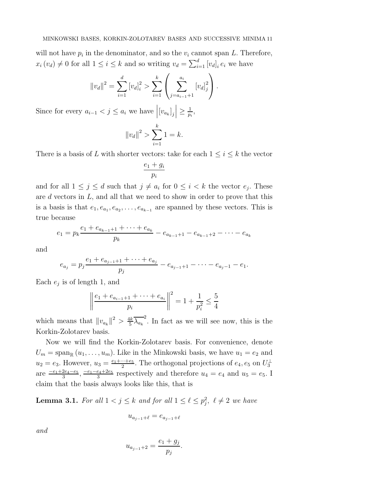will not have  $p_i$  in the denominator, and so the  $v_i$  cannot span L. Therefore,  $x_i(v_d) \neq 0$  for all  $1 \leq i \leq k$  and so writing  $v_d = \sum_{i=1}^d [v_d]_i e_i$  we have

$$
||v_d||^2 = \sum_{i=1}^d [v_d]_i^2 > \sum_{i=1}^k \left( \sum_{j=a_{i-1}+1}^{a_i} [v_d]_j^2 \right).
$$

Since for every  $a_{i-1} < j \le a_i$  we have  $\left| [v_{a_k}]_j \right| \ge \frac{1}{p_i}$  $\frac{1}{p_i},$ 

$$
||v_d||^2 > \sum_{i=1}^k 1 = k.
$$

There is a basis of L with shorter vectors: take for each  $1 \leq i \leq k$  the vector

$$
\frac{e_1+g_i}{p_i}
$$

and for all  $1 \leq j \leq d$  such that  $j \neq a_i$  for  $0 \leq i < k$  the vector  $e_j$ . These are  $d$  vectors in  $L$ , and all that we need to show in order to prove that this is a basis is that  $e_1, e_{a_1}, e_{a_2}, \ldots, e_{a_{k-1}}$  are spanned by these vectors. This is true because

$$
e_1 = p_k \frac{e_1 + e_{a_{k-1}+1} + \dots + e_{a_k}}{p_k} - e_{a_{k-1}+1} - e_{a_{k-1}+2} - \dots - e_{a_k}
$$

and

$$
e_{a_j} = p_j \frac{e_1 + e_{a_{j-1}+1} + \dots + e_{a_j}}{p_j} - e_{a_{j-1}+1} - \dots - e_{a_j-1} - e_1.
$$

Each  $e_j$  is of length 1, and

$$
\left\| \frac{e_1 + e_{a_{i-1}+1} + \dots + e_{a_i}}{p_i} \right\|^2 = 1 + \frac{1}{p_i^2} \le \frac{5}{4}
$$

which means that  $||v_{a_k}||^2 > \frac{4k}{5}$  $\frac{1}{5}\overline{\lambda_{a_k}}^2$ . In fact as we will see now, this is the Korkin-Zolotarev basis.

Now we will find the Korkin-Zolotarev basis. For convenience, denote  $U_m = \text{span}_{\mathbb{R}} (u_1, \ldots, u_m)$ . Like in the Minkowski basis, we have  $u_1 = e_2$  and  $u_2 = e_3$ . However,  $u_3 = \frac{e_1 + \dots + e_5}{2}$  $\frac{m+e_5}{2}$ . The orthogonal projections of  $e_4, e_5$  on  $U_3^{\perp}$ are  $\frac{-e_1+2e_4-e_5}{3}, \frac{-e_1-e_4+2e_5}{3}$  $\frac{e_4+2e_5}{3}$  respectively and therefore  $u_4 = e_4$  and  $u_5 = e_5$ . I claim that the basis always looks like this, that is

<span id="page-10-0"></span>**Lemma 3.1.** For all  $1 < j \leq k$  and for all  $1 \leq \ell \leq p_j^2$ ,  $\ell \neq 2$  we have

$$
u_{a_{j-1}+\ell}=e_{a_{j-1}+\ell}
$$

and

$$
u_{a_{j-1}+2} = \frac{e_1 + g_j}{p_j}.
$$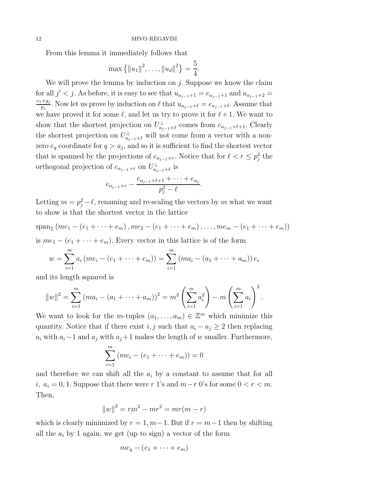From this lemma it immediately follows that

$$
\max\left\{\|u_1\|^2,\ldots,\|u_d\|^2\right\}=\frac{5}{4}.
$$

We will prove the lemma by induction on  $j$ . Suppose we know the claim for all  $j' < j$ . As before, it is easy to see that  $u_{a_{j-1}+1} = e_{a_{j-1}+1}$  and  $u_{a_{j-1}+2} =$  $e_1+g_j$  $\frac{+g_j}{p_j}$ . Now let us prove by induction on  $\ell$  that  $u_{a_{j-1}+\ell} = e_{a_{j-1}+\ell}$ . Assume that we have proved it for some  $\ell$ , and let us try to prove it for  $\ell+1$ . We want to show that the shortest projection on  $U_{a_{j-1}+\ell}^{\perp}$  comes from  $e_{a_{j-1}+\ell+1}$ . Clearly the shortest projection on  $U_{a_{j-1}+\ell}^{\perp}$  will not come from a vector with a nonzero  $e_q$  coordinate for  $q > a_j$ , and so it is sufficient to find the shortest vector that is spanned by the projections of  $e_{a_{j-1}+r}$ . Notice that for  $\ell < r \leq p_j^2$  the orthogonal projection of  $e_{a_{j-1}+r}$  on  $U_{a_{j-1}+\ell}^{\perp}$  is

$$
e_{a_{j-1}+r} - \frac{e_{a_{j-1}+\ell+1} + \cdots + e_{a_j}}{p_j^2 - \ell}.
$$

Letting  $m = p_j^2 - \ell$ , renaming and re-scaling the vectors by m what we want to show is that the shortest vector in the lattice

$$
\operatorname{span}_{\mathbb{Z}}(me_1 - (e_1 + \dots + e_m), me_2 - (e_1 + \dots + e_m), \dots, me_m - (e_1 + \dots + e_m))
$$
  
is  $me_1 - (e_1 + \dots + e_m)$ . Every vector in this lattice is of the form

$$
w = \sum_{i=1}^{m} a_i (me_i - (e_1 + \dots + e_m)) = \sum_{i=1}^{m} (ma_i - (a_1 + \dots + a_m)) e_i
$$

and its length squared is

$$
||w||^2 = \sum_{i=1}^m (ma_i - (a_1 + \dots + a_m))^2 = m^2 \left(\sum_{i=1}^m a_i^2\right) - m \left(\sum_{i=1}^m a_i\right)^2.
$$

We want to look for the *m*-tuples  $(a_1, \ldots, a_m) \in \mathbb{Z}^m$  which minimize this quantity. Notice that if there exist i, j such that  $a_i - a_j \geq 2$  then replacing  $a_i$  with  $a_i-1$  and  $a_j$  with  $a_j+1$  makes the length of w smaller. Furthermore,

$$
\sum_{i=1}^{m} (me_i - (e_1 + \dots + e_m)) = 0
$$

and therefore we can shift all the  $a_i$  by a constant to assume that for all i,  $a_i = 0, 1$ . Suppose that there were r 1's and  $m-r$  0's for some  $0 < r < m$ . Then,

$$
||w||^2 = rm^2 - mr^2 = mr(m - r)
$$

which is clearly minimized by  $r = 1, m-1$ . But if  $r = m-1$  then by shifting all the  $a_i$  by 1 again, we get (up to sign) a vector of the form

$$
me_q - (e_1 + \cdots + e_m)
$$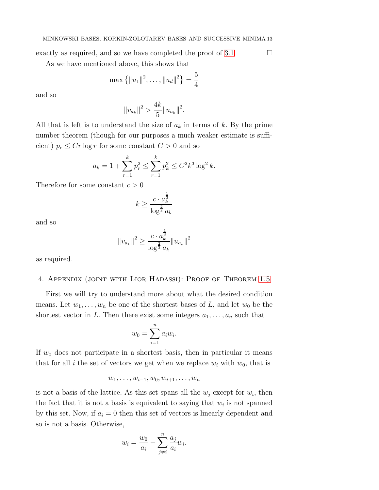exactly as required, and so we have completed the proof of [3.1](#page-10-0)  $\Box$ 

As we have mentioned above, this shows that

$$
\max\left\{\|u_1\|^2,\ldots,\|u_d\|^2\right\}=\frac{5}{4}
$$

and so

$$
||v_{a_k}||^2 > \frac{4k}{5} ||u_{a_k}||^2.
$$

All that is left is to understand the size of  $a_k$  in terms of k. By the prime number theorem (though for our purposes a much weaker estimate is sufficient)  $p_r \leq Cr \log r$  for some constant  $C > 0$  and so

$$
a_k = 1 + \sum_{r=1}^k p_r^2 \le \sum_{r=1}^k p_k^2 \le C^2 k^3 \log^2 k.
$$

Therefore for some constant  $c > 0$ 

$$
k \ge \frac{c \cdot a_k^{\frac{1}{3}}}{\log^{\frac{2}{3}} a_k}
$$

and so

$$
||v_{a_k}||^2 \ge \frac{c \cdot a_k^{\frac{1}{3}}}{\log^{\frac{2}{3}} a_k} ||u_{a_k}||^2
$$

as required.

# 4. Appendix (joint with Lior Hadassi): Proof of Theorem [1.5](#page-4-1)

First we will try to understand more about what the desired condition means. Let  $w_1, \ldots, w_n$  be one of the shortest bases of L, and let  $w_0$  be the shortest vector in L. Then there exist some integers  $a_1, \ldots, a_n$  such that

$$
w_0 = \sum_{i=1}^n a_i w_i.
$$

If  $w_0$  does not participate in a shortest basis, then in particular it means that for all i the set of vectors we get when we replace  $w_i$  with  $w_0$ , that is

$$
w_1,\ldots,w_{i-1},w_0,w_{i+1},\ldots,w_n
$$

is not a basis of the lattice. As this set spans all the  $w_j$  except for  $w_i$ , then the fact that it is not a basis is equivalent to saying that  $w_i$  is not spanned by this set. Now, if  $a_i = 0$  then this set of vectors is linearly dependent and so is not a basis. Otherwise,

$$
w_i = \frac{w_0}{a_i} - \sum_{j \neq i}^{n} \frac{a_j}{a_i} w_i.
$$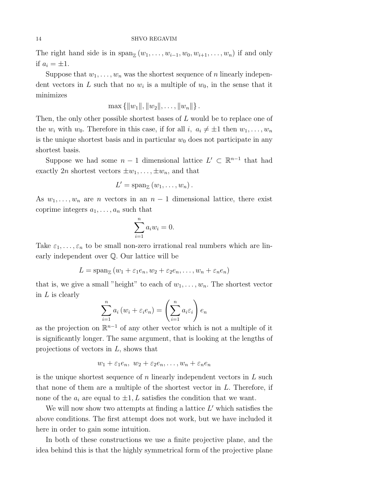The right hand side is in  $\text{span}_{\mathbb{Z}}(w_1,\ldots,w_{i-1},w_0,w_{i+1},\ldots,w_n)$  if and only if  $a_i = \pm 1$ .

Suppose that  $w_1, \ldots, w_n$  was the shortest sequence of n linearly independent vectors in L such that no  $w_i$  is a multiple of  $w_0$ , in the sense that it minimizes

$$
\max\{||w_1||, ||w_2||, \ldots, ||w_n||\}.
$$

Then, the only other possible shortest bases of L would be to replace one of the  $w_i$  with  $w_0$ . Therefore in this case, if for all  $i, a_i \neq \pm 1$  then  $w_1, \ldots, w_n$ is the unique shortest basis and in particular  $w_0$  does not participate in any shortest basis.

Suppose we had some  $n-1$  dimensional lattice  $L' \subset \mathbb{R}^{n-1}$  that had exactly 2n shortest vectors  $\pm w_1, \ldots, \pm w_n$ , and that

$$
L'=\operatorname{span}_{\mathbb{Z}}(w_1,\ldots,w_n).
$$

As  $w_1, \ldots, w_n$  are *n* vectors in an  $n-1$  dimensional lattice, there exist coprime integers  $a_1, \ldots, a_n$  such that

$$
\sum_{i=1}^{n} a_i w_i = 0.
$$

Take  $\varepsilon_1, \ldots, \varepsilon_n$  to be small non-zero irrational real numbers which are linearly independent over Q. Our lattice will be

$$
L = \operatorname{span}_{\mathbb{Z}} (w_1 + \varepsilon_1 e_n, w_2 + \varepsilon_2 e_n, \dots, w_n + \varepsilon_n e_n)
$$

that is, we give a small "height" to each of  $w_1, \ldots, w_n$ . The shortest vector in  $L$  is clearly

$$
\sum_{i=1}^{n} a_i (w_i + \varepsilon_i e_n) = \left(\sum_{i=1}^{n} a_i \varepsilon_i\right) e_n
$$

as the projection on  $\mathbb{R}^{n-1}$  of any other vector which is not a multiple of it is significantly longer. The same argument, that is looking at the lengths of projections of vectors in L, shows that

$$
w_1 + \varepsilon_1 e_n, w_2 + \varepsilon_2 e_n, \dots, w_n + \varepsilon_n e_n
$$

is the unique shortest sequence of n linearly independent vectors in  $L$  such that none of them are a multiple of the shortest vector in  $L$ . Therefore, if none of the  $a_i$  are equal to  $\pm 1$ , L satisfies the condition that we want.

We will now show two attempts at finding a lattice  $L'$  which satisfies the above conditions. The first attempt does not work, but we have included it here in order to gain some intuition.

In both of these constructions we use a finite projective plane, and the idea behind this is that the highly symmetrical form of the projective plane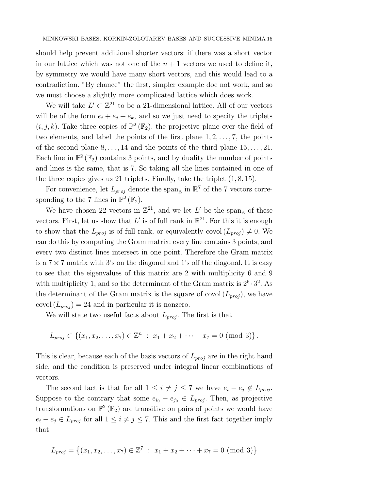should help prevent additional shorter vectors: if there was a short vector in our lattice which was not one of the  $n + 1$  vectors we used to define it, by symmetry we would have many short vectors, and this would lead to a contradiction. "By chance" the first, simpler example doe not work, and so we must choose a slightly more complicated lattice which does work.

We will take  $L' \subset \mathbb{Z}^{21}$  to be a 21-dimensional lattice. All of our vectors will be of the form  $e_i + e_j + e_k$ , and so we just need to specify the triplets  $(i, j, k)$ . Take three copies of  $\mathbb{P}^2(\mathbb{F}_2)$ , the projective plane over the field of two elements, and label the points of the first plane  $1, 2, \ldots, 7$ , the points of the second plane  $8, \ldots, 14$  and the points of the third plane  $15, \ldots, 21$ . Each line in  $\mathbb{P}^2(\mathbb{F}_2)$  contains 3 points, and by duality the number of points and lines is the same, that is 7. So taking all the lines contained in one of the three copies gives us 21 triplets. Finally, take the triplet  $(1, 8, 15)$ .

For convenience, let  $L_{proj}$  denote the span<sub>z</sub> in  $\mathbb{R}^7$  of the 7 vectors corresponding to the 7 lines in  $\mathbb{P}^2(\mathbb{F}_2)$ .

We have chosen 22 vectors in  $\mathbb{Z}^{21}$ , and we let L' be the span<sub> $\mathbb{Z}$ </sub> of these vectors. First, let us show that L' is of full rank in  $\mathbb{R}^{21}$ . For this it is enough to show that the  $L_{proj}$  is of full rank, or equivalently covol  $(L_{proj}) \neq 0$ . We can do this by computing the Gram matrix: every line contains 3 points, and every two distinct lines intersect in one point. Therefore the Gram matrix is a  $7 \times 7$  matrix with 3's on the diagonal and 1's off the diagonal. It is easy to see that the eigenvalues of this matrix are 2 with multiplicity 6 and 9 with multiplicity 1, and so the determinant of the Gram matrix is  $2^6 \cdot 3^2$ . As the determinant of the Gram matrix is the square of covol  $(L_{proj})$ , we have covol  $(L_{proj}) = 24$  and in particular it is nonzero.

We will state two useful facts about  $L_{proj}$ . The first is that

$$
L_{proj} \subset \{(x_1, x_2, \ldots, x_7) \in \mathbb{Z}^n : x_1 + x_2 + \cdots + x_7 = 0 \pmod{3}\}.
$$

This is clear, because each of the basis vectors of  $L_{proj}$  are in the right hand side, and the condition is preserved under integral linear combinations of vectors.

The second fact is that for all  $1 \leq i \neq j \leq 7$  we have  $e_i - e_j \notin L_{proj}$ . Suppose to the contrary that some  $e_{i_0} - e_{j_0} \in L_{proj}$ . Then, as projective transformations on  $\mathbb{P}^2(\mathbb{F}_2)$  are transitive on pairs of points we would have  $e_i - e_j \in L_{proj}$  for all  $1 \leq i \neq j \leq 7$ . This and the first fact together imply that

$$
L_{proj} = \{(x_1, x_2, \dots, x_7) \in \mathbb{Z}^7 : x_1 + x_2 + \dots + x_7 = 0 \pmod{3}\}
$$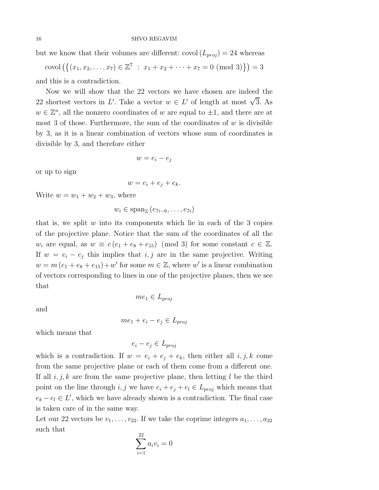but we know that their volumes are different: covol  $(L_{proj}) = 24$  whereas

covol  $(\{(x_1, x_2, ..., x_7) \in \mathbb{Z}^7 : x_1 + x_2 + ... + x_7 = 0 \pmod{3}\}) = 3$ 

and this is a contradiction.

Now we will show that the 22 vectors we have chosen are indeed the 22 shortest vectors in L'. Take a vector  $w \in L'$  of length at most  $\sqrt{3}$ . As  $w \in \mathbb{Z}^n$ , all the nonzero coordinates of w are equal to  $\pm 1$ , and there are at most 3 of those. Furthermore, the sum of the coordinates of  $w$  is divisible by 3, as it is a linear combination of vectors whose sum of coordinates is divisible by 3, and therefore either

$$
w=e_i-e_j
$$

or up to sign

$$
w = e_i + e_j + e_k.
$$

Write  $w = w_1 + w_2 + w_3$ , where

$$
w_i \in \mathrm{span}_{\mathbb{Z}}\left(e_{7i-6},\ldots,e_{7i}\right)
$$

that is, we split  $w$  into its components which lie in each of the 3 copies of the projective plane. Notice that the sum of the coordinates of all the  $w_i$  are equal, as  $w \equiv c (e_1 + e_8 + e_{15}) \pmod{3}$  for some constant  $c \in \mathbb{Z}$ . If  $w = e_i - e_j$  this implies that  $i, j$  are in the same projective. Writing  $w = m (e_1 + e_8 + e_{15}) + w'$  for some  $m \in \mathbb{Z}$ , where  $w'$  is a linear combination of vectors corresponding to lines in one of the projective planes, then we see that

and

$$
me_1 + e_i - e_j \in L_{proj}
$$

 $me_1 \in L_{proj}$ 

which means that

$$
e_i - e_j \in L_{proj}
$$

which is a contradiction. If  $w = e_i + e_j + e_k$ , then either all  $i, j, k$  come from the same projective plane or each of them come from a different one. If all  $i, j, k$  are from the same projective plane, then letting l be the third point on the line through i, j we have  $e_i + e_j + e_l \in L_{proj}$  which means that  $e_k - e_l \in L'$ , which we have already shown is a contradiction. The final case is taken care of in the same way.

Let our 22 vectors be  $v_1, \ldots, v_{22}$ . If we take the coprime integers  $a_1, \ldots, a_{22}$ such that

$$
\sum_{i=1}^{22} a_i v_i = 0
$$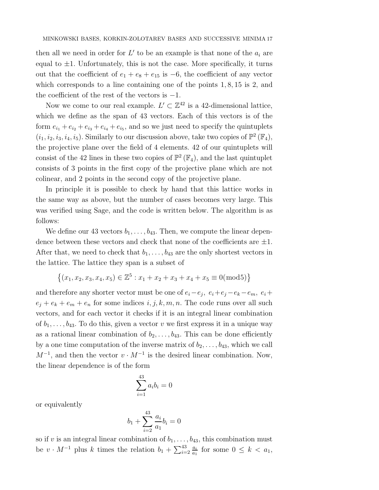then all we need in order for  $L'$  to be an example is that none of the  $a_i$  are equal to  $\pm 1$ . Unfortunately, this is not the case. More specifically, it turns out that the coefficient of  $e_1 + e_8 + e_{15}$  is  $-6$ , the coefficient of any vector which corresponds to a line containing one of the points 1, 8, 15 is 2, and the coefficient of the rest of the vectors is  $-1$ .

Now we come to our real example.  $L' \subset \mathbb{Z}^{42}$  is a 42-dimensional lattice, which we define as the span of 43 vectors. Each of this vectors is of the form  $e_{i_1} + e_{i_2} + e_{i_3} + e_{i_4} + e_{i_5}$ , and so we just need to specify the quintuplets  $(i_1, i_2, i_3, i_4, i_5)$ . Similarly to our discussion above, take two copies of  $\mathbb{P}^2(\mathbb{F}_4)$ , the projective plane over the field of 4 elements. 42 of our quintuplets will consist of the 42 lines in these two copies of  $\mathbb{P}^2(\mathbb{F}_4)$ , and the last quintuplet consists of 3 points in the first copy of the projective plane which are not colinear, and 2 points in the second copy of the projective plane.

In principle it is possible to check by hand that this lattice works in the same way as above, but the number of cases becomes very large. This was verified using Sage, and the code is written below. The algorithm is as follows:

We define our 43 vectors  $b_1, \ldots, b_{43}$ . Then, we compute the linear dependence between these vectors and check that none of the coefficients are  $\pm 1$ . After that, we need to check that  $b_1, \ldots, b_{43}$  are the only shortest vectors in the lattice. The lattice they span is a subset of

$$
\{(x_1, x_2, x_3, x_4, x_5) \in \mathbb{Z}^5 : x_1 + x_2 + x_3 + x_4 + x_5 \equiv 0 \pmod{5}\}
$$

and therefore any shorter vector must be one of  $e_i - e_j$ ,  $e_i + e_j - e_k - e_m$ ,  $e_i +$  $e_j + e_k + e_m + e_n$  for some indices  $i, j, k, m, n$ . The code runs over all such vectors, and for each vector it checks if it is an integral linear combination of  $b_1, \ldots, b_{43}$ . To do this, given a vector v we first express it in a unique way as a rational linear combination of  $b_2, \ldots, b_{43}$ . This can be done efficiently by a one time computation of the inverse matrix of  $b_2, \ldots, b_{43}$ , which we call  $M^{-1}$ , and then the vector  $v \cdot M^{-1}$  is the desired linear combination. Now, the linear dependence is of the form

$$
\sum_{i=1}^{43} a_i b_i = 0
$$

or equivalently

$$
b_1 + \sum_{i=2}^{43} \frac{a_i}{a_1} b_i = 0
$$

so if v is an integral linear combination of  $b_1, \ldots, b_{43}$ , this combination must be  $v \cdot M^{-1}$  plus k times the relation  $b_1 + \sum_{i=2}^{43} \frac{a_i}{a_1}$  $\frac{a_i}{a_1}$  for some  $0 \leq k < a_1$ ,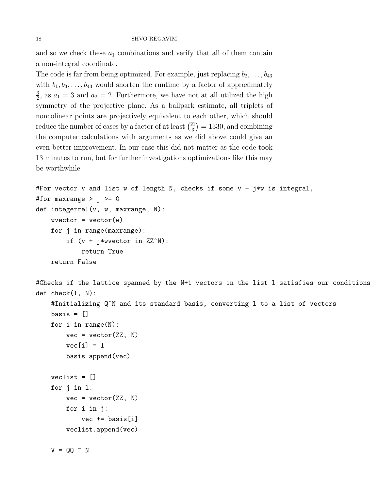and so we check these  $a_1$  combinations and verify that all of them contain a non-integral coordinate.

The code is far from being optimized. For example, just replacing  $b_2, \ldots, b_{43}$ with  $b_1, b_3, \ldots, b_{43}$  would shorten the runtime by a factor of approximately 3  $\frac{3}{2}$ , as  $a_1 = 3$  and  $a_2 = 2$ . Furthermore, we have not at all utilized the high symmetry of the projective plane. As a ballpark estimate, all triplets of noncolinear points are projectively equivalent to each other, which should reduce the number of cases by a factor of at least  $\binom{21}{3}$  $\binom{21}{3}$  = 1330, and combining the computer calculations with arguments as we did above could give an even better improvement. In our case this did not matter as the code took 13 minutes to run, but for further investigations optimizations like this may be worthwhile.

```
#For vector v and list w of length N, checks if some v + j * w is integral,
#for maxrange > j >= 0def integerrel(v, w, maxrange, N):
    wvector = vector(w)for j in range(maxrange):
        if (v + j)*wvector in ZZ^N):
            return True
    return False
```

```
#Checks if the lattice spanned by the N+1 vectors in the list l satisfies our conditions
def check(l, N):
```

```
#Initializing Q^N and its standard basis, converting l to a list of vectors
basis = []for i in range(N):
    vec = vector(ZZ, N)vec[i] = 1basis.append(vec)
veclist = []
for j in l:
    vec = vector(ZZ, N)for i in j:
        vec += basis[i]
    veclist.append(vec)
V = QQ \hat{N}
```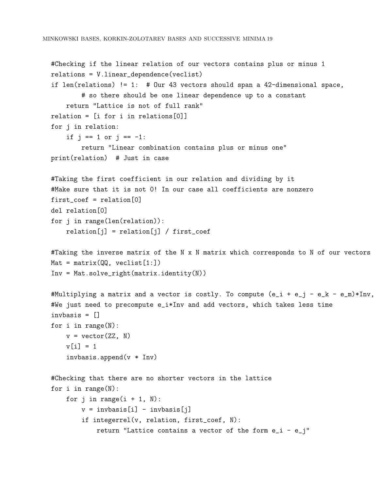```
#Checking if the linear relation of our vectors contains plus or minus 1
relations = V.linear_dependence(veclist)
if len(relations) != 1: # Our 43 vectors should span a 42-dimensional space,
        # so there should be one linear dependence up to a constant
    return "Lattice is not of full rank"
relation = [i for i in relations[0]]
for j in relation:
    if j == 1 or j == -1:
        return "Linear combination contains plus or minus one"
print(relation) # Just in case
#Taking the first coefficient in our relation and dividing by it
#Make sure that it is not 0! In our case all coefficients are nonzero
first_coef = relation[0]
del relation[0]
for j in range(len(relation)):
    relation[j] = relation[j] / first\_coeff#Taking the inverse matrix of the N x N matrix which corresponds to N of our vectors
Mat = matrix(QQ, veclist[1:])Inv = Mat.solve_right(matrix.identity(N))
#Multiplying a matrix and a vector is costly. To compute (e_i + e_j - e_k - e_m) * Inv,
#We just need to precompute e_i*Inv and add vectors, which takes less time
invbasis = []
for i in range(N):
    v = vector(ZZ, N)v[i] = 1invbasis.append(v * Inv)
#Checking that there are no shorter vectors in the lattice
for i in range(N):
    for j in range(i + 1, N):
        v = invbasis[i] - invbasis[j]if integerrel(v, relation, first_coef, N):
            return "Lattice contains a vector of the form e_i - e_j"
```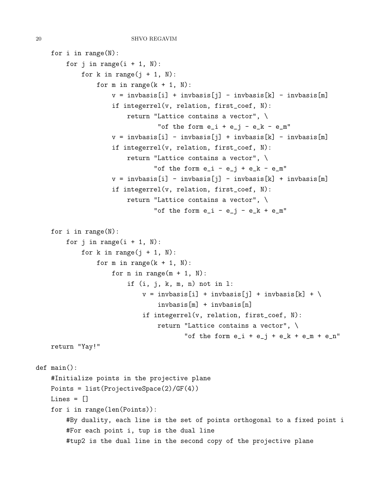```
for i in range(N):
        for j in range(i + 1, N):
            for k in range(j + 1, N):
                for m in range(k + 1, N):
                    v = invbasis[i] + invbasis[j] - invbasis[k] - invbasis[m]if integerrel(v, relation, first_coef, N):
                        return "Lattice contains a vector", \
                                "of the form e_i + e_j - e_k - e_m"
                    v = invbasis[i] - invbasis[j] + invbasis[k] - invbasis[m]if integerrel(v, relation, first_coef, N):
                        return "Lattice contains a vector", \
                               "of the form e_i - e_j + e_k - e_m"
                    v = invbasis[i] - invbasis[j] - invbasis[k] + invbasis[m]if integerrel(v, relation, first_coef, N):
                        return "Lattice contains a vector", \
                               "of the form e_i - e_i - e_k + e_m"
    for i in range(N):
        for j in range(i + 1, N):
            for k in range(j + 1, N):
                for m in range(k + 1, N):
                    for n in range(m + 1, N):
                        if (i, j, k, m, n) not in l:
                            v = invbasis[i] + invbasis[j] + invbasis[k] + \invbasis[m] + invbasis[n]
                            if integerrel(v, relation, first_coef, N):
                                return "Lattice contains a vector", \
                                       "of the form e_i + e_j + e_k + e_m + e_n"
    return "Yay!"
def main():
    #Initialize points in the projective plane
    Points = list(ProjectiveSpace(2)/GF(4))
   Lines = \lceilfor i in range(len(Points)):
        #By duality, each line is the set of points orthogonal to a fixed point i
        #For each point i, tup is the dual line
        #tup2 is the dual line in the second copy of the projective plane
```